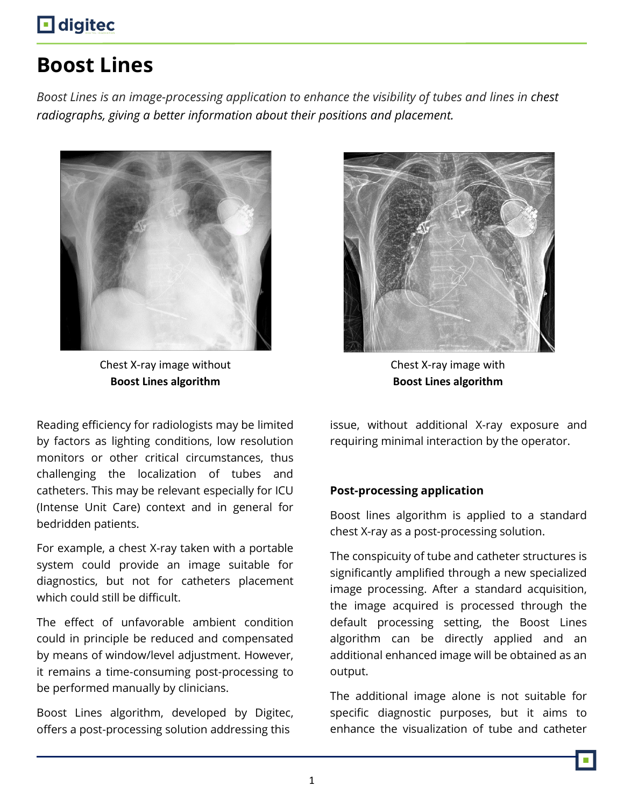## **digited**

# **Boost Lines**

*Boost Lines is an image-processing application to enhance the visibility of tubes and lines in chest radiographs, giving a better information about their positions and placement.*



Chest X-ray image without **Boost Lines algorithm**



Chest X-ray image with **Boost Lines algorithm**

Reading efficiency for radiologists may be limited by factors as lighting conditions, low resolution monitors or other critical circumstances, thus challenging the localization of tubes and catheters. This may be relevant especially for ICU (Intense Unit Care) context and in general for bedridden patients.

For example, a chest X-ray taken with a portable system could provide an image suitable for diagnostics, but not for catheters placement which could still be difficult.

The effect of unfavorable ambient condition could in principle be reduced and compensated by means of window/level adjustment. However, it remains a time-consuming post-processing to be performed manually by clinicians.

Boost Lines algorithm, developed by Digitec, offers a post-processing solution addressing this

issue, without additional X-ray exposure and requiring minimal interaction by the operator.

### **Post-processing application**

Boost lines algorithm is applied to a standard chest X-ray as a post-processing solution.

The conspicuity of tube and catheter structures is significantly amplified through a new specialized image processing. After a standard acquisition, the image acquired is processed through the default processing setting, the Boost Lines algorithm can be directly applied and an additional enhanced image will be obtained as an output.

The additional image alone is not suitable for specific diagnostic purposes, but it aims to enhance the visualization of tube and catheter